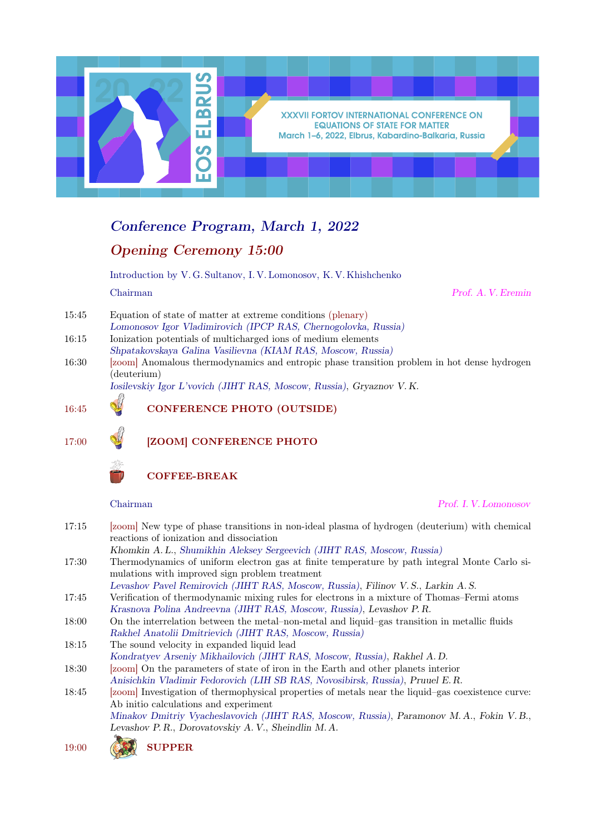

## Conference Program, March 1, 2022 Opening Ceremony 15:00

Introduction by V. G. Sultanov, I. V. Lomonosov, K. V. Khishchenko Chairman Prof. A. V. Eremin

- 15:45 Equation of state of matter at extreme conditions (plenary)
- Lomonosov Igor Vladimirovich (IPCP RAS, Chernogolovka, Russia)
- 16:15 Ionization potentials of multicharged ions of medium elements Shpatakovskaya Galina Vasilievna (KIAM RAS, Moscow, Russia) 16:30 [zoom] Anomalous thermodynamics and entropic phase transition problem in hot dense hydrogen (deuterium)

Iosilevskiy Igor L'vovich (JIHT RAS, Moscow, Russia), Gryaznov V. K.

### 16:45 **W** CONFERENCE PHOTO (OUTSIDE)

17:00 [ZOOM] CONFERENCE PHOTO



Chairman Prof. I. V. Lomonosov

17:15 [zoom] New type of phase transitions in non-ideal plasma of hydrogen (deuterium) with chemical reactions of ionization and dissociation Khomkin A. L., Shumikhin Aleksey Sergeevich (JIHT RAS, Moscow, Russia) 17:30 Thermodynamics of uniform electron gas at finite temperature by path integral Monte Carlo simulations with improved sign problem treatment Levashov Pavel Remirovich (JIHT RAS, Moscow, Russia), Filinov V. S., Larkin A. S. 17:45 Verification of thermodynamic mixing rules for electrons in a mixture of Thomas–Fermi atoms Krasnova Polina Andreevna (JIHT RAS, Moscow, Russia), Levashov P. R. 18:00 On the interrelation between the metal–non-metal and liquid–gas transition in metallic fluids Rakhel Anatolii Dmitrievich (JIHT RAS, Moscow, Russia) 18:15 The sound velocity in expanded liquid lead Kondratyev Arseniy Mikhailovich (JIHT RAS, Moscow, Russia), Rakhel A. D. 18:30 [zoom] On the parameters of state of iron in the Earth and other planets interior Anisichkin Vladimir Fedorovich (LIH SB RAS, Novosibirsk, Russia), Pruuel E. R. 18:45 [zoom] Investigation of thermophysical properties of metals near the liquid–gas coexistence curve: Ab initio calculations and experiment Minakov Dmitriy Vyacheslavovich (JIHT RAS, Moscow, Russia), Paramonov M. A., Fokin V. B., Levashov P. R., Dorovatovskiy A. V., Sheindlin M. A.

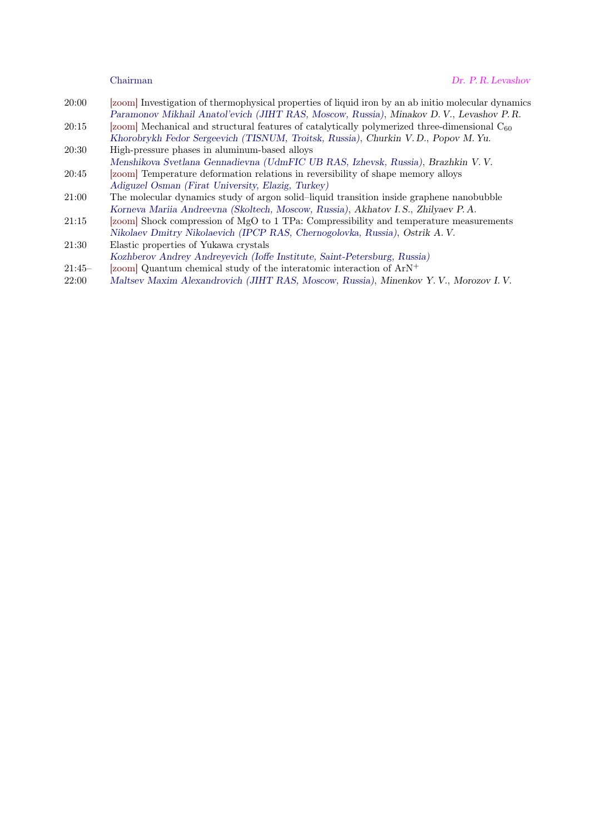- 20:00 [zoom] Investigation of thermophysical properties of liquid iron by an ab initio molecular dynamics Paramonov Mikhail Anatol'evich (JIHT RAS, Moscow, Russia), Minakov D. V., Levashov P. R.
- 20:15 [zoom] Mechanical and structural features of catalytically polymerized three-dimensional  $C_{60}$ Khorobrykh Fedor Sergeevich (TISNUM, Troitsk, Russia), Churkin V. D., Popov M. Yu.
- 20:30 High-pressure phases in aluminum-based alloys Menshikova Svetlana Gennadievna (UdmFIC UB RAS, Izhevsk, Russia), Brazhkin V. V.
- 20:45 [zoom] Temperature deformation relations in reversibility of shape memory alloys Adiguzel Osman (Firat University, Elazig, Turkey)
- 21:00 The molecular dynamics study of argon solid–liquid transition inside graphene nanobubble Korneva Mariia Andreevna (Skoltech, Moscow, Russia), Akhatov I. S., Zhilyaev P. A.
- 21:15 [zoom] Shock compression of MgO to 1 TPa: Compressibility and temperature measurements Nikolaev Dmitry Nikolaevich (IPCP RAS, Chernogolovka, Russia), Ostrik A. V.
- 21:30 Elastic properties of Yukawa crystals Kozhberov Andrey Andreyevich (Ioffe Institute, Saint-Petersburg, Russia)
- 21:45– [zoom] Quantum chemical study of the interatomic interaction of ArN<sup>+</sup>
- 22:00 Maltsev Maxim Alexandrovich (JIHT RAS, Moscow, Russia), Minenkov Y. V., Morozov I. V.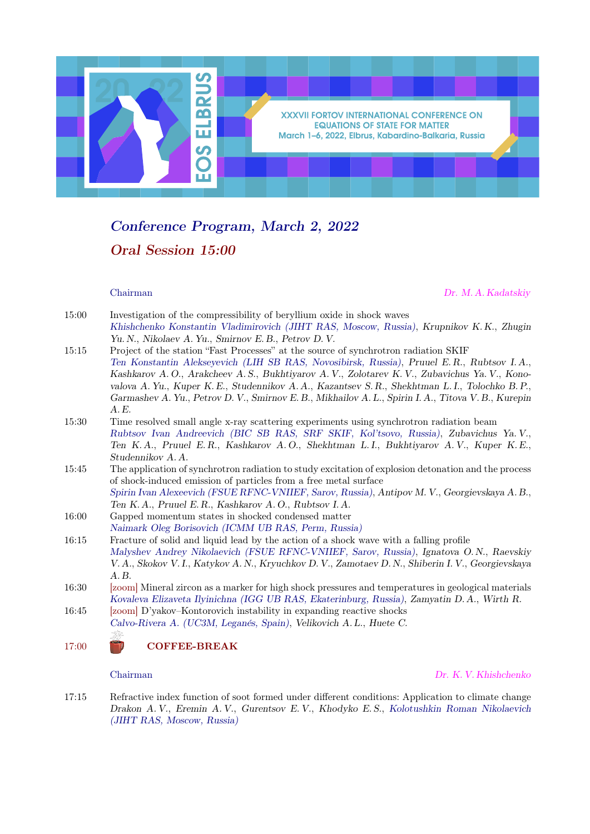

# Conference Program, March 2, 2022 Oral Session 15:00

Chairman Dr. M. A. Kadatskiy

| 15:00 | Investigation of the compressibility of beryllium oxide in shock waves                               |
|-------|------------------------------------------------------------------------------------------------------|
|       | Khishchenko Konstantin Vladimirovich (JIHT RAS, Moscow, Russia), Krupnikov K.K., Zhugin              |
|       | Yu. N., Nikolaev A. Yu., Smirnov E. B., Petrov D. V.                                                 |
| 15:15 | Project of the station "Fast Processes" at the source of synchrotron radiation SKIF                  |
|       | Ten Konstantin Alekseyevich (LIH SB RAS, Novosibirsk, Russia), Pruuel E.R., Rubtsov I.A.,            |
|       | Kashkarov A.O., Arakcheev A.S., Bukhtiyarov A.V., Zolotarev K.V., Zubavichus Ya.V., Kono-            |
|       | valova A. Yu., Kuper K. E., Studennikov A. A., Kazantsev S. R., Shekhtman L. I., Tolochko B. P.,     |
|       | Garmashev A. Yu., Petrov D. V., Smirnov E. B., Mikhailov A. L., Spirin I. A., Titova V. B., Kurepin  |
|       | A.E.                                                                                                 |
| 15:30 | Time resolved small angle x-ray scattering experiments using synchrotron radiation beam              |
|       | Rubtsov Ivan Andreevich (BIC SB RAS, SRF SKIF, Kol'tsovo, Russia), Zubavichus Ya.V.,                 |
|       | Ten K.A., Pruuel E.R., Kashkarov A.O., Shekhtman L.I., Bukhtiyarov A.V., Kuper K.E.,                 |
|       | Studennikov A.A.                                                                                     |
| 15:45 | The application of synchrotron radiation to study excitation of explosion detonation and the process |
|       | of shock-induced emission of particles from a free metal surface                                     |
|       | Spirin Ivan Alexeevich (FSUE RFNC-VNIIEF, Sarov, Russia), Antipov M. V., Georgievskaya A. B.,        |
|       | Ten K.A., Pruuel E.R., Kashkarov A.O., Rubtsov I.A.                                                  |
| 16:00 | Gapped momentum states in shocked condensed matter                                                   |
|       | Naimark Oleg Borisovich (ICMM UB RAS, Perm, Russia)                                                  |
| 16:15 | Fracture of solid and liquid lead by the action of a shock wave with a falling profile               |
|       | Malyshev Andrey Nikolaevich (FSUE RFNC-VNIIEF, Sarov, Russia), Ignatova O.N., Raevskiy               |
|       | V. A., Skokov V. I., Katykov A. N., Kryuchkov D. V., Zamotaev D. N., Shiberin I. V., Georgievskaya   |
|       | A.B.                                                                                                 |
| 16:30 | [zoom] Mineral zircon as a marker for high shock pressures and temperatures in geological materials  |
|       | Kovaleva Elizaveta Ilyinichna (IGG UB RAS, Ekaterinburg, Russia), Zamyatin D.A., Wirth R.            |
| 16:45 | [zoom] D'yakov-Kontorovich instability in expanding reactive shocks                                  |
|       | Calvo-Rivera A. (UC3M, Leganés, Spain), Velikovich A.L., Huete C.                                    |
|       | -52-                                                                                                 |

17:00 COFFEE-BREAK

### Chairman Dr. K. V. Khishchenko

17:15 Refractive index function of soot formed under different conditions: Application to climate change Drakon A. V., Eremin A. V., Gurentsov E. V., Khodyko E. S., Kolotushkin Roman Nikolaevich (JIHT RAS, Moscow, Russia)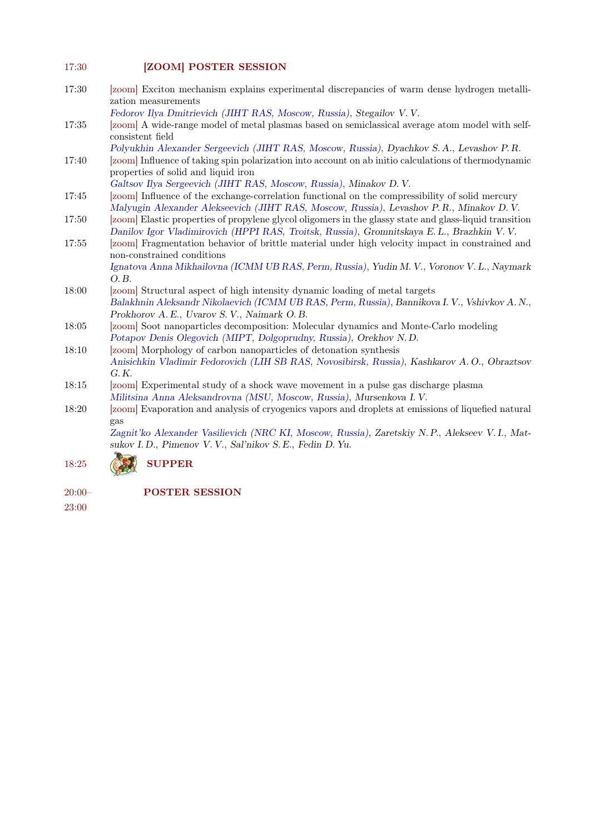### 17:30 **[ZOOM] POSTER SESSION**

17:30 [zoom] Exciton mechanism explains experimental discrepancies of warm dense hydrogen metallization measurements

Fedorov Ilya Dmitrievich (JIHT RAS, Moscow, Russia), Stegailov V. V.

17:35 [zoom] A wide-range model of metal plasmas based on semiclassical average atom model with selfconsistent field

Polyukhin Alexander Sergeevich (JIHT RAS, Moscow, Russia), Dyachkov S. A., Levashov P. R.

17:40 [zoom] Influence of taking spin polarization into account on ab initio calculations of thermodynamic properties of solid and liquid iron

Galtsov Ilya Sergeevich (JIHT RAS, Moscow, Russia), Minakov D. V.

- 17:45 [zoom] Influence of the exchange-correlation functional on the compressibility of solid mercury Malyugin Alexander Alekseevich (JIHT RAS, Moscow, Russia), Levashov P. R., Minakov D. V.
- 17:50 [zoom] Elastic properties of propylene glycol oligomers in the glassy state and glass-liquid transition Danilov Igor Vladimirovich (HPPI RAS, Troitsk, Russia), Gromnitskaya E. L., Brazhkin V. V.
- 17:55 [zoom] Fragmentation behavior of brittle material under high velocity impact in constrained and non-constrained conditions

Ignatova Anna Mikhailovna (ICMM UB RAS, Perm, Russia), Yudin M. V., Voronov V. L., Naymark O. B.

- 18:00 [zoom] Structural aspect of high intensity dynamic loading of metal targets Balakhnin Aleksandr Nikolaevich (ICMM UB RAS, Perm, Russia), Bannikova I. V., Vshivkov A. N., Prokhorov A. E., Uvarov S. V., Naimark O. B.
- 18:05 [zoom] Soot nanoparticles decomposition: Molecular dynamics and Monte-Carlo modeling Potapov Denis Olegovich (MIPT, Dolgoprudny, Russia), Orekhov N. D.
- 18:10 [zoom] Morphology of carbon nanoparticles of detonation synthesis Anisichkin Vladimir Fedorovich (LIH SB RAS, Novosibirsk, Russia), Kashkarov A. O., Obraztsov G. K.
- 18:15 [zoom] Experimental study of a shock wave movement in a pulse gas discharge plasma Militsina Anna Aleksandrovna (MSU, Moscow, Russia), Mursenkova I. V.
- 18:20 [zoom] Evaporation and analysis of cryogenics vapors and droplets at emissions of liquefied natural gas

Zagnit'ko Alexander Vasilievich (NRC KI, Moscow, Russia), Zaretskiy N. P., Alekseev V. I., Matsukov I. D., Pimenov V. V., Sal'nikov S. E., Fedin D. Yu.

### 18:25 (53) SUPPER

20:00–

POSTER SESSION

23:00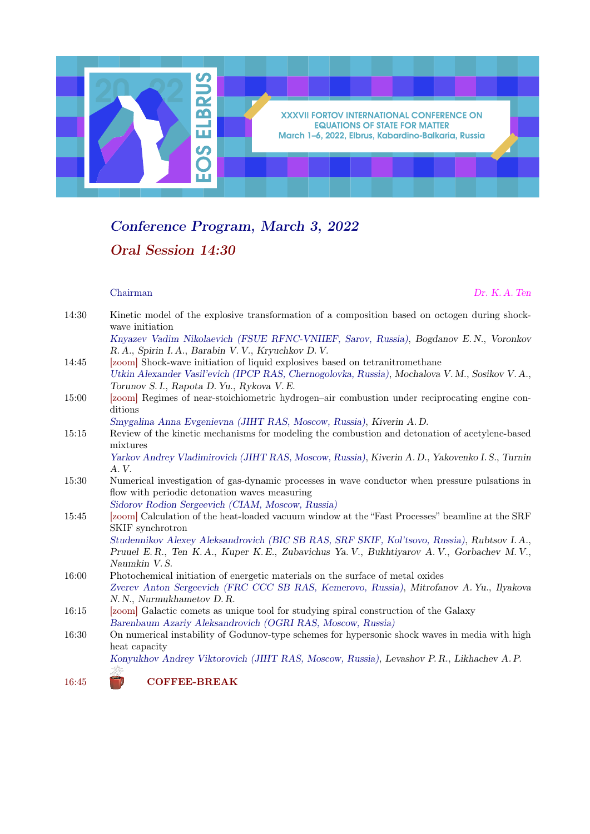

# Conference Program, March 3, 2022 Oral Session 14:30

### Chairman Dr. K. A. Ten

| 14:30 | Kinetic model of the explosive transformation of a composition based on octogen during shock-<br>wave initiation                             |
|-------|----------------------------------------------------------------------------------------------------------------------------------------------|
|       | Knyazev Vadim Nikolaevich (FSUE RFNC-VNIIEF, Sarov, Russia), Bogdanov E.N., Voronkov<br>R. A., Spirin I. A., Barabin V. V., Kryuchkov D. V.  |
| 14:45 | [zoom] Shock-wave initiation of liquid explosives based on tetranitromethane                                                                 |
|       | Utkin Alexander Vasil'evich (IPCP RAS, Chernogolovka, Russia), Mochalova V. M., Sosikov V. A.,<br>Torunov S. I., Rapota D. Yu., Rykova V. E. |
| 15:00 | [zoom] Regimes of near-stoichiometric hydrogen-air combustion under reciprocating engine con-<br>ditions                                     |
|       | Smygalina Anna Evgenievna (JIHT RAS, Moscow, Russia), Kiverin A.D.                                                                           |
| 15:15 | Review of the kinetic mechanisms for modeling the combustion and detonation of acetylene-based<br>mixtures                                   |
|       | Yarkov Andrey Vladimirovich (JIHT RAS, Moscow, Russia), Kiverin A. D., Yakovenko I. S., Turnin<br>A.V.                                       |
| 15:30 | Numerical investigation of gas-dynamic processes in wave conductor when pressure pulsations in                                               |
|       | flow with periodic detonation waves measuring                                                                                                |
|       | Sidorov Rodion Sergeevich (CIAM, Moscow, Russia)                                                                                             |
| 15:45 | [zoom] Calculation of the heat-loaded vacuum window at the "Fast Processes" beamline at the SRF<br>SKIF synchrotron                          |
|       | Studennikov Alexey Aleksandrovich (BIC SB RAS, SRF SKIF, Kol'tsovo, Russia), Rubtsov I.A.,                                                   |
|       | Pruuel E.R., Ten K.A., Kuper K.E., Zubavichus Ya.V., Bukhtiyarov A.V., Gorbachev M.V.,<br>Naumkin V.S.                                       |
| 16:00 | Photochemical initiation of energetic materials on the surface of metal oxides                                                               |
|       | Zverev Anton Sergeevich (FRC CCC SB RAS, Kemerovo, Russia), Mitrofanov A. Yu., Ilyakova                                                      |
|       | N. N., Nurmukhametov D. R.                                                                                                                   |
| 16:15 | [zoom] Galactic comets as unique tool for studying spiral construction of the Galaxy                                                         |
|       | Barenbaum Azariy Aleksandrovich (OGRI RAS, Moscow, Russia)                                                                                   |
| 16:30 | On numerical instability of Godunov-type schemes for hypersonic shock waves in media with high<br>heat capacity                              |
|       | Konyukhov Andrey Viktorovich (JIHT RAS, Moscow, Russia), Levashov P.R., Likhachev A.P.                                                       |

16:45 COFFEE-BREAK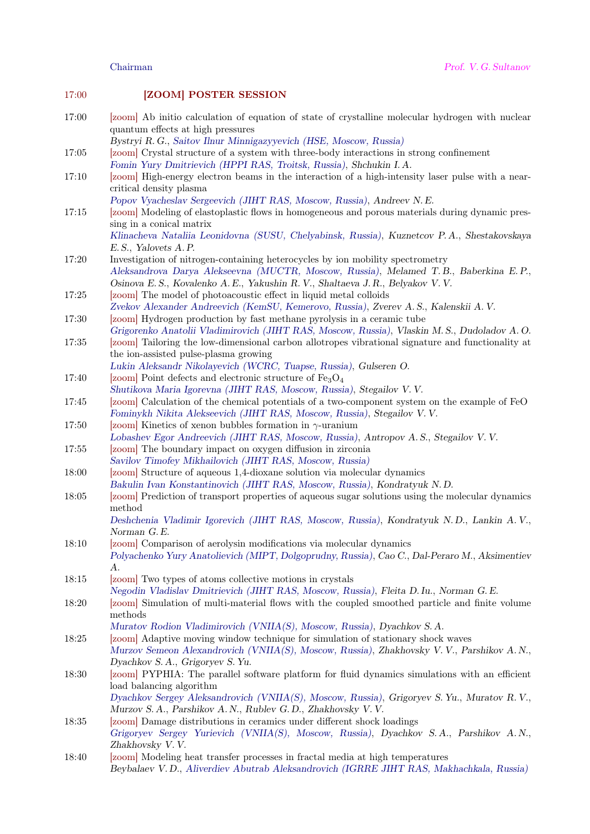### 17:00 **[ZOOM] POSTER SESSION**

17:00 [zoom] Ab initio calculation of equation of state of crystalline molecular hydrogen with nuclear quantum effects at high pressures

Bystryi R. G., Saitov Ilnur Minnigazyyevich (HSE, Moscow, Russia)

- 17:05 [zoom] Crystal structure of a system with three-body interactions in strong confinement Fomin Yury Dmitrievich (HPPI RAS, Troitsk, Russia), Shchukin I. A.
- 17:10 [zoom] High-energy electron beams in the interaction of a high-intensity laser pulse with a nearcritical density plasma

Popov Vyacheslav Sergeevich (JIHT RAS, Moscow, Russia), Andreev N. E.

17:15 [zoom] Modeling of elastoplastic flows in homogeneous and porous materials during dynamic pressing in a conical matrix

Klinacheva Nataliia Leonidovna (SUSU, Chelyabinsk, Russia), Kuznetcov P. A., Shestakovskaya E. S., Yalovets A. P.

17:20 Investigation of nitrogen-containing heterocycles by ion mobility spectrometry Aleksandrova Darya Alekseevna (MUCTR, Moscow, Russia), Melamed T. B., Baberkina E. P., Osinova E. S., Kovalenko A. E., Yakushin R. V., Shaltaeva J. R., Belyakov V. V.

17:25 [zoom] The model of photoacoustic effect in liquid metal colloids

Zvekov Alexander Andreevich (KemSU, Kemerovo, Russia), Zverev A. S., Kalenskii A. V.

17:30 [zoom] Hydrogen production by fast methane pyrolysis in a ceramic tube

- Grigorenko Anatolii Vladimirovich (JIHT RAS, Moscow, Russia), Vlaskin M. S., Dudoladov A. O. 17:35 [zoom] Tailoring the low-dimensional carbon allotropes vibrational signature and functionality at the ion-assisted pulse-plasma growing
- Lukin Aleksandr Nikolayevich (WCRC, Tuapse, Russia), Gulseren O.

17:40 [zoom] Point defects and electronic structure of  $Fe<sub>3</sub>O<sub>4</sub>$ 

- Shutikova Maria Igorevna (JIHT RAS, Moscow, Russia), Stegailov V. V.
- 17:45 [zoom] Calculation of the chemical potentials of a two-component system on the example of FeO Fominykh Nikita Alekseevich (JIHT RAS, Moscow, Russia), Stegailov V. V.
- 17:50 [zoom] Kinetics of xenon bubbles formation in  $\gamma$ -uranium
- Lobashev Egor Andreevich (JIHT RAS, Moscow, Russia), Antropov A. S., Stegailov V. V.
- 17:55 [zoom] The boundary impact on oxygen diffusion in zirconia Savilov Timofey Mikhailovich (JIHT RAS, Moscow, Russia)
- 18:00 [zoom] Structure of aqueous 1,4-dioxane solution via molecular dynamics
- Bakulin Ivan Konstantinovich (JIHT RAS, Moscow, Russia), Kondratyuk N. D.
- 18:05 [zoom] Prediction of transport properties of aqueous sugar solutions using the molecular dynamics method

Deshchenia Vladimir Igorevich (JIHT RAS, Moscow, Russia), Kondratyuk N. D., Lankin A. V., Norman G. E.

- 18:10 [zoom] Comparison of aerolysin modifications via molecular dynamics Polyachenko Yury Anatolievich (MIPT, Dolgoprudny, Russia), Cao C., Dal-Peraro M., Aksimentiev  $\mathcal{A}$ .
- 18:15 [zoom] Two types of atoms collective motions in crystals Negodin Vladislav Dmitrievich (JIHT RAS, Moscow, Russia), Fleita D. Iu., Norman G. E.
- 18:20 [zoom] Simulation of multi-material flows with the coupled smoothed particle and finite volume methods
- Muratov Rodion Vladimirovich (VNIIA(S), Moscow, Russia), Dyachkov S. A.
- 18:25 [zoom] Adaptive moving window technique for simulation of stationary shock waves Murzov Semeon Alexandrovich (VNIIA(S), Moscow, Russia), Zhakhovsky V. V., Parshikov A. N., Dyachkov S. A., Grigoryev S. Yu.
- 18:30 [zoom] PYPHIA: The parallel software platform for fluid dynamics simulations with an efficient load balancing algorithm

Dyachkov Sergey Aleksandrovich (VNIIA(S), Moscow, Russia), Grigoryev S. Yu., Muratov R. V., Murzov S. A., Parshikov A. N., Rublev G. D., Zhakhovsky V. V.

- 18:35 [zoom] Damage distributions in ceramics under different shock loadings Grigoryev Sergey Yurievich (VNIIA(S), Moscow, Russia), Dyachkov S. A., Parshikov A. N., Zhakhovsky V. V.
- 18:40 [zoom] Modeling heat transfer processes in fractal media at high temperatures Beybalaev V. D., Aliverdiev Abutrab Aleksandrovich (IGRRE JIHT RAS, Makhachkala, Russia)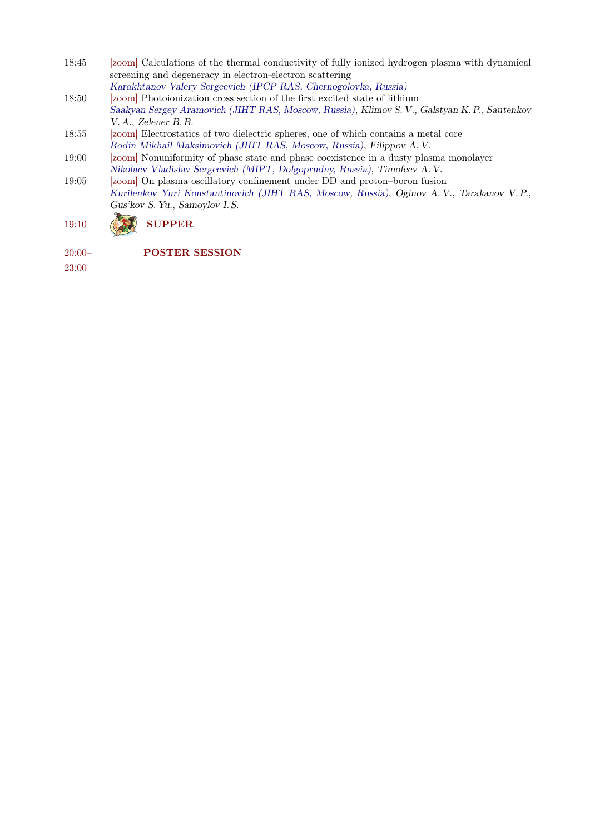- 18:45 [zoom] Calculations of the thermal conductivity of fully ionized hydrogen plasma with dynamical screening and degeneracy in electron-electron scattering
- Karakhtanov Valery Sergeevich (IPCP RAS, Chernogolovka, Russia) 18:50 [zoom] Photoionization cross section of the first excited state of lithium Saakyan Sergey Aramovich (JIHT RAS, Moscow, Russia), Klimov S. V., Galstyan K. P., Sautenkov V. A., Zelener B. B.
- 18:55 [zoom] Electrostatics of two dielectric spheres, one of which contains a metal core Rodin Mikhail Maksimovich (JIHT RAS, Moscow, Russia), Filippov A. V.
- 19:00 [zoom] Nonuniformity of phase state and phase coexistence in a dusty plasma monolayer Nikolaev Vladislav Sergeevich (MIPT, Dolgoprudny, Russia), Timofeev A. V.
- 19:05 [zoom] On plasma oscillatory confinement under DD and proton–boron fusion Kurilenkov Yuri Konstantinovich (JIHT RAS, Moscow, Russia), Oginov A. V., Tarakanov V. P., Gus'kov S. Yu., Samoylov I. S.

## 19:10 (SSA) SUPPER

20:00– POSTER SESSION

23:00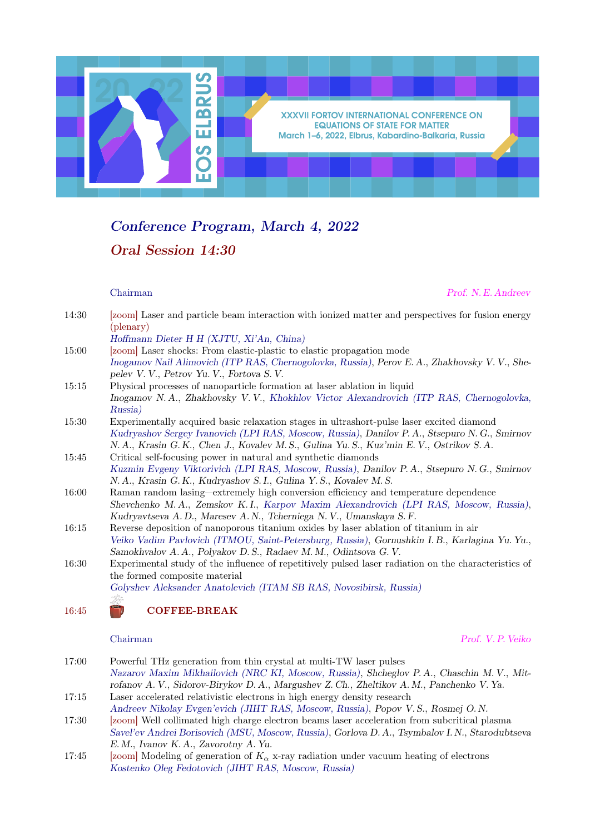

## Conference Program, March 4, 2022 Oral Session 14:30

Chairman Prof. N. E. Andreev

| 14:30 | [zoom] Laser and particle beam interaction with ionized matter and perspectives for fusion energy<br>(plenary)                             |
|-------|--------------------------------------------------------------------------------------------------------------------------------------------|
|       | Hoffmann Dieter H H (XJTU, Xi'An, China)                                                                                                   |
| 15:00 | [zoom] Laser shocks: From elastic-plastic to elastic propagation mode                                                                      |
|       | Inogamov Nail Alimovich (ITP RAS, Chernogolovka, Russia), Perov E. A., Zhakhovsky V. V., She-<br>pelev V. V., Petrov Yu. V., Fortova S. V. |
| 15:15 | Physical processes of nanoparticle formation at laser ablation in liquid                                                                   |
|       | Inogamov N.A., Zhakhovsky V.V., Khokhlov Victor Alexandrovich (ITP RAS, Chernogolovka,<br>Russia)                                          |
| 15:30 | Experimentally acquired basic relaxation stages in ultrashort-pulse laser excited diamond                                                  |
|       | Kudryashov Sergey Ivanovich (LPI RAS, Moscow, Russia), Danilov P. A., Stsepuro N. G., Smirnov                                              |
|       | N. A., Krasin G. K., Chen J., Kovalev M. S., Gulina Yu. S., Kuz'min E. V., Ostrikov S. A.                                                  |
| 15:45 | Critical self-focusing power in natural and synthetic diamonds                                                                             |
|       | Kuzmin Evgeny Viktorivich (LPI RAS, Moscow, Russia), Danilov P.A., Stsepuro N.G., Smirnov                                                  |
|       | N.A., Krasin G.K., Kudryashov S.I., Gulina Y.S., Kovalev M.S.                                                                              |
| 16:00 | Raman random lasing-extremely high conversion efficiency and temperature dependence                                                        |
|       | Shevchenko M.A., Zemskov K.I., Karpov Maxim Alexandrovich (LPI RAS, Moscow, Russia),                                                       |
|       | Kudryavtseva A.D., Maresev A.N., Tcherniega N.V., Umanskaya S.F.                                                                           |
| 16:15 | Reverse deposition of nanoporous titanium oxides by laser ablation of titanium in air                                                      |
|       | Veiko Vadim Pavlovich (ITMOU, Saint-Petersburg, Russia), Gornushkin I.B., Karlagina Yu.Yu.,                                                |
|       | Samokhvalov A. A., Polyakov D. S., Radaev M. M., Odintsova G. V.                                                                           |
| 16:30 | Experimental study of the influence of repetitively pulsed laser radiation on the characteristics of                                       |
|       | the formed composite material                                                                                                              |
|       | Golyshev Aleksander Anatolevich (ITAM SB RAS, Novosibirsk, Russia)                                                                         |
|       | ÌÈ                                                                                                                                         |

16:45 COFFEE-BREAK

Chairman Prof. V. P. Veiko

- 17:00 Powerful THz generation from thin crystal at multi-TW laser pulses Nazarov Maxim Mikhailovich (NRC KI, Moscow, Russia), Shcheglov P. A., Chaschin M. V., Mitrofanov A. V., Sidorov-Birykov D. A., Margushev Z. Ch., Zheltikov A. M., Panchenko V. Ya. 17:15 Laser accelerated relativistic electrons in high energy density research
- Andreev Nikolay Evgen'evich (JIHT RAS, Moscow, Russia), Popov V. S., Rosmej O. N.
- 17:30 [zoom] Well collimated high charge electron beams laser acceleration from subcritical plasma Savel'ev Andrei Borisovich (MSU, Moscow, Russia), Gorlova D. A., Tsymbalov I. N., Starodubtseva E. M., Ivanov K. A., Zavorotny A. Yu.
- 17:45 [zoom] Modeling of generation of  $K_{\alpha}$  x-ray radiation under vacuum heating of electrons Kostenko Oleg Fedotovich (JIHT RAS, Moscow, Russia)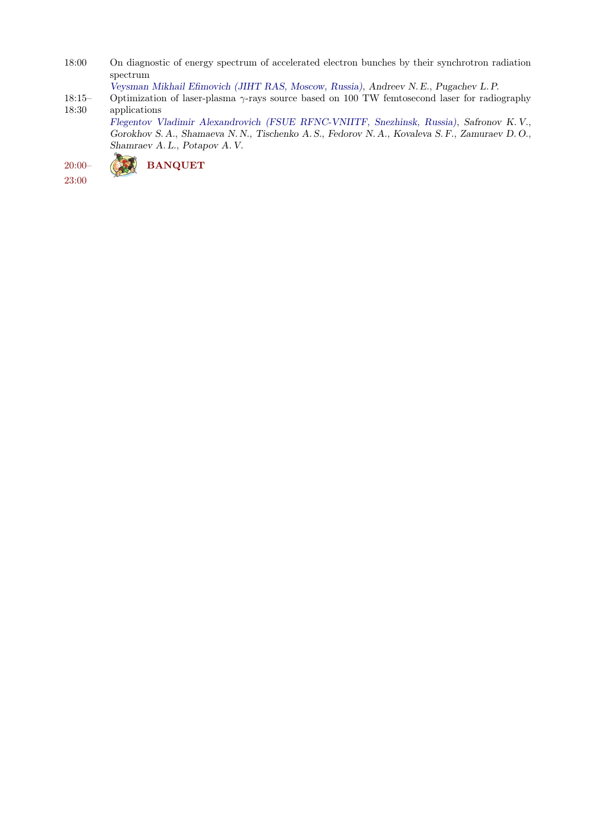- 18:00 On diagnostic of energy spectrum of accelerated electron bunches by their synchrotron radiation spectrum
	- Veysman Mikhail Efimovich (JIHT RAS, Moscow, Russia), Andreev N. E., Pugachev L. P.
- 18:15– 18:30 Optimization of laser-plasma  $\gamma$ -rays source based on 100 TW femtosecond laser for radiography applications

Flegentov Vladimir Alexandrovich (FSUE RFNC-VNIITF, Snezhinsk, Russia), Safronov K. V., Gorokhov S. A., Shamaeva N. N., Tischenko A. S., Fedorov N. A., Kovaleva S. F., Zamuraev D. O., Shamraev A. L., Potapov A. V.



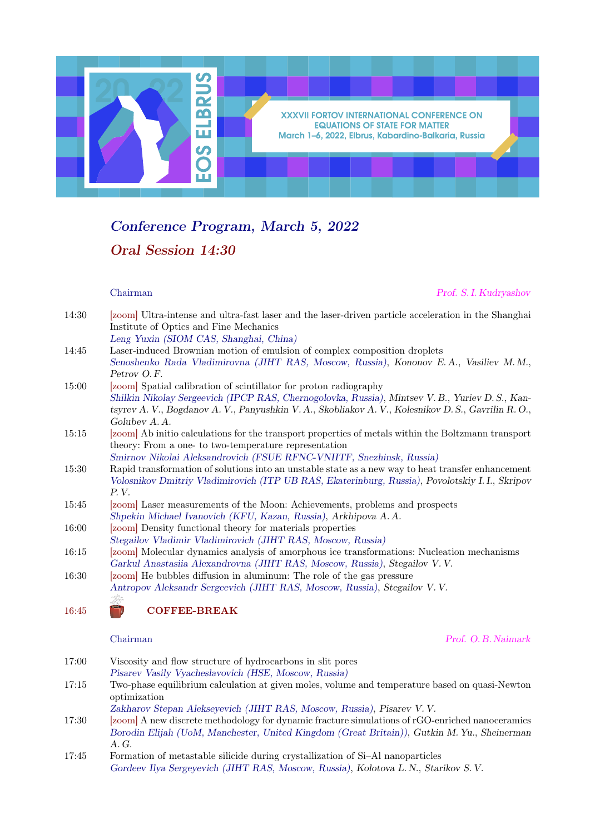

## Conference Program, March 5, 2022 Oral Session 14:30

Chairman Prof. S. I. Kudryashov

| 14:30 | [zoom] Ultra-intense and ultra-fast laser and the laser-driven particle acceleration in the Shanghai |
|-------|------------------------------------------------------------------------------------------------------|
|       | Institute of Optics and Fine Mechanics                                                               |
|       | Leng Yuxin (SIOM CAS, Shanghai, China)                                                               |
| 14:45 | Laser-induced Brownian motion of emulsion of complex composition droplets                            |

- Senoshenko Rada Vladimirovna (JIHT RAS, Moscow, Russia), Kononov E. A., Vasiliev M. M., Petrov O. F.
- 15:00 [zoom] Spatial calibration of scintillator for proton radiography Shilkin Nikolay Sergeevich (IPCP RAS, Chernogolovka, Russia), Mintsev V. B., Yuriev D. S., Kantsyrev A. V., Bogdanov A. V., Panyushkin V. A., Skobliakov A. V., Kolesnikov D. S., Gavrilin R. O., Golubev A. A.
- 15:15 [zoom] Ab initio calculations for the transport properties of metals within the Boltzmann transport theory: From a one- to two-temperature representation Smirnov Nikolai Aleksandrovich (FSUE RFNC-VNIITF, Snezhinsk, Russia)
- 15:30 Rapid transformation of solutions into an unstable state as a new way to heat transfer enhancement Volosnikov Dmitriy Vladimirovich (ITP UB RAS, Ekaterinburg, Russia), Povolotskiy I. I., Skripov P. V.
- 15:45 [zoom] Laser measurements of the Moon: Achievements, problems and prospects Shpekin Michael Ivanovich (KFU, Kazan, Russia), Arkhipova A. A.
- 16:00 [zoom] Density functional theory for materials properties
- Stegailov Vladimir Vladimirovich (JIHT RAS, Moscow, Russia)
- 16:15 [zoom] Molecular dynamics analysis of amorphous ice transformations: Nucleation mechanisms Garkul Anastasiia Alexandrovna (JIHT RAS, Moscow, Russia), Stegailov V. V.
- 16:30 [zoom] He bubbles diffusion in aluminum: The role of the gas pressure Antropov Aleksandr Sergeevich (JIHT RAS, Moscow, Russia), Stegailov V. V.

16:45 COFFEE-BREAK

Chairman Prof. O. B. Naimark

| 17:00 | Viscosity and flow structure of hydrocarbons in slit pores                                      |
|-------|-------------------------------------------------------------------------------------------------|
|       | Pisarev Vasily Vyacheslavovich (HSE, Moscow, Russia)                                            |
| 17:15 | Two-phase equilibrium calculation at given moles, volume and temperature based on quasi-Newton  |
|       | optimization                                                                                    |
|       | Zakharov Stepan Alekseyevich (JIHT RAS, Moscow, Russia), Pisarev V.V.                           |
| 17:30 | [zoom] A new discrete methodology for dynamic fracture simulations of rGO-enriched nanoceramics |
|       | Borodin Elijah (UoM, Manchester, United Kingdom (Great Britain)), Gutkin M. Yu., Sheinerman     |
|       | A.G.                                                                                            |
| 17:45 | Formation of metastable silicide during crystallization of Si-Al nanoparticles                  |

Gordeev Ilya Sergeyevich (JIHT RAS, Moscow, Russia), Kolotova L. N., Starikov S. V.